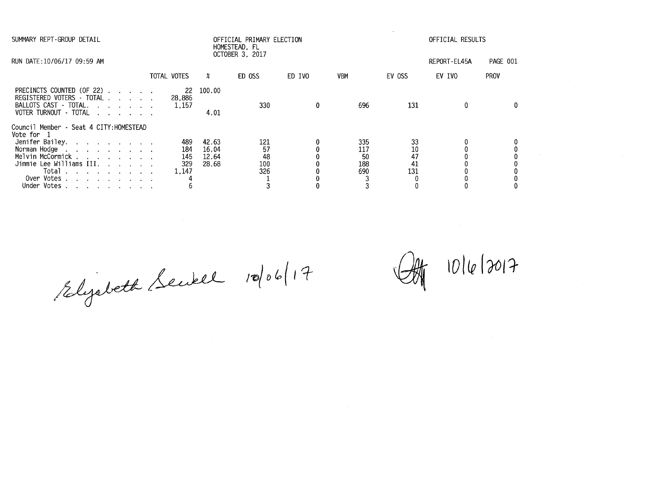| SUMMARY REPT-GROUP DETAIL                                                                                    |             |                        |                         | OFFICIAL PRIMARY ELECTION<br>HOMESTEAD, FL |              |                        |                | OFFICIAL RESULTS |             |
|--------------------------------------------------------------------------------------------------------------|-------------|------------------------|-------------------------|--------------------------------------------|--------------|------------------------|----------------|------------------|-------------|
| RUN DATE:10/06/17 09:59 AM                                                                                   |             |                        |                         | OCTOBER 3, 2017                            |              |                        |                | REPORT-EL45A     | PAGE 001    |
|                                                                                                              | TOTAL VOTES |                        | x                       | ED OSS                                     | ED IVO       | VBM                    | EV OSS         | EV IVO           | <b>PROV</b> |
| PRECINCTS COUNTED (OF 22)<br>REGISTERED VOTERS - TOTAL<br>BALLOTS CAST - TOTAL.<br>VOTER TURNOUT - TOTAL     |             | -22<br>28.886<br>1.157 | 100.00<br>4.01          | 330                                        | $\mathbf{0}$ | 696<br>$\sim 10^{-11}$ | 131            | 0                |             |
| Council Member - Seat 4 CITY: HOMESTEAD<br>Vote for 1<br>Jenifer Bailey.<br>Norman Hodge<br>Melvin McCormick |             | 489<br>184<br>145      | 42.63<br>16.04<br>12.64 | 121<br>57<br>48                            |              | 335<br>117<br>50       | 33<br>10<br>47 |                  |             |
| Jimmie Lee Williams III.<br>Total<br>Over Votes<br>Under Votes                                               |             | 329<br>1,147           | 28.68                   | 100<br>326                                 |              | 188<br>690             | 41<br>131      |                  |             |

 $^{7}$ <br>1006/2010<br>2010/201<del>1</del><br>2010/2017<br>2010/2017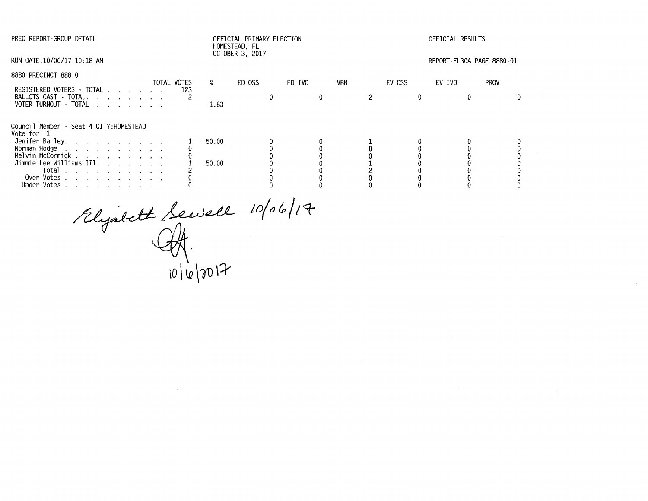| PREC REPORT-GROUP DETAIL                                 |             |        | OFFICIAL PRIMARY ELECTION<br>HOMESTEAD, FL |        |            |        | OFFICIAL RESULTS          |  |
|----------------------------------------------------------|-------------|--------|--------------------------------------------|--------|------------|--------|---------------------------|--|
| RUN DATE:10/06/17 10:18 AM                               |             |        | OCTOBER 3, 2017                            |        |            |        | REPORT-EL30A PAGE 8880-01 |  |
| 8880 PRECINCT 888.0                                      | TOTAL VOTES | $\chi$ | ED OSS                                     | ED IVO | <b>VBM</b> | EV OSS | EV IVO<br><b>PROV</b>     |  |
| REGISTERED VOTERS - TOTAL                                | 123         |        |                                            |        |            |        |                           |  |
| BALLOTS CAST - TOTAL.<br>VOTER TURNOUT · TOTAL           |             | 1.63   |                                            |        |            |        |                           |  |
| Council Member - Seat 4 CITY: HOMESTEAD<br>Vote for 1    |             |        |                                            |        |            |        |                           |  |
| Jenifer Bailey.                                          |             | 50.00  |                                            |        |            |        |                           |  |
| Norman Hodge                                             |             |        |                                            |        |            |        |                           |  |
| Melvin McCormick                                         |             |        |                                            |        |            |        |                           |  |
| Jimmie Lee Williams III.                                 |             | 50.00  |                                            |        |            |        |                           |  |
| Total<br>the contract of the contract of the contract of |             |        |                                            |        |            |        |                           |  |
| Over Votes                                               |             |        |                                            |        |            |        |                           |  |
| Under Votes                                              |             |        |                                            |        |            |        |                           |  |

Rlyabeth Sewell 10/  $\iota$ **lO \ lo \00 \::r**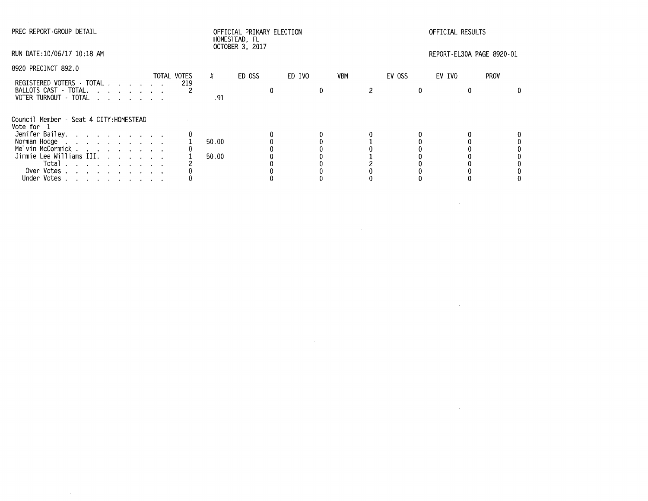| PREC REPORT-GROUP DETAIL                                                                                                                                                                                         |             | OFFICIAL PRIMARY ELECTION<br>HOMESTEAD, FL |                 |        |            |        | OFFICIAL RESULTS          |             |  |  |  |
|------------------------------------------------------------------------------------------------------------------------------------------------------------------------------------------------------------------|-------------|--------------------------------------------|-----------------|--------|------------|--------|---------------------------|-------------|--|--|--|
| RUN DATE:10/06/17 10:18 AM                                                                                                                                                                                       |             |                                            | OCTOBER 3, 2017 |        |            |        | REPORT-EL30A PAGE 8920-01 |             |  |  |  |
| 8920 PRECINCT 892.0                                                                                                                                                                                              | TOTAL VOTES | $\boldsymbol{\mathsf{z}}$                  | ED OSS          | ED IVO | <b>VBM</b> | EV OSS | EV IVO                    | <b>PROV</b> |  |  |  |
| REGISTERED VOTERS - TOTAL<br>BALLOTS CAST - TOTAL.<br>VOTER TURNOUT - TOTAL                                                                                                                                      | 219         | . 91                                       |                 |        |            |        |                           |             |  |  |  |
| Council Member - Seat 4 CITY:HOMESTEAD<br>Vote for 1                                                                                                                                                             |             |                                            |                 |        |            |        |                           |             |  |  |  |
| Jenifer Bailey.<br>Norman Hodge<br>Melvin McCormick<br>Jimmie Lee Williams III.<br>Total<br>the contract of the contract of the contract of<br>Over Votes<br>Under Votes<br>design and a strain and a strain and |             | 50.00<br>50.00                             |                 |        |            |        |                           |             |  |  |  |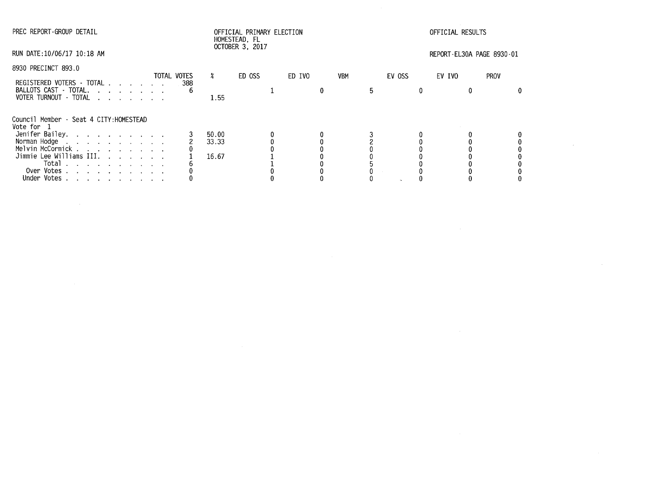| PREC REPORT-GROUP DETAIL                                                                                                   |             | OFFICIAL PRIMARY ELECTION<br>HOMESTEAD, FL |                 |        |     |        | OFFICIAL RESULTS          |      |  |  |  |
|----------------------------------------------------------------------------------------------------------------------------|-------------|--------------------------------------------|-----------------|--------|-----|--------|---------------------------|------|--|--|--|
| RUN DATE:10/06/17 10:18 AM                                                                                                 |             |                                            | OCTOBER 3, 2017 |        |     |        | REPORT-EL30A PAGE 8930-01 |      |  |  |  |
| 8930 PRECINCT 893.0                                                                                                        |             |                                            |                 |        |     |        |                           |      |  |  |  |
| REGISTERED VOTERS - TOTAL                                                                                                  | TOTAL VOTES | $\chi$                                     | ED OSS          | ED IVO | VBM | EV OSS | EV IVO                    | PROV |  |  |  |
| BALLOTS CAST - TOTAL.<br>VOTER TURNOUT - TOTAL<br>$\mathbf{r}$ , $\mathbf{r}$ , $\mathbf{r}$ , $\mathbf{r}$ , $\mathbf{r}$ | 388         | 1.55                                       |                 |        |     |        |                           |      |  |  |  |
| Council Member · Seat 4 CITY:HOMESTEAD<br>Vote for 1                                                                       |             |                                            |                 |        |     |        |                           |      |  |  |  |
| Jenifer Bailey.                                                                                                            |             | 50.00                                      |                 |        |     |        |                           |      |  |  |  |
| Norman Hodge                                                                                                               |             | 33.33                                      |                 |        |     |        |                           |      |  |  |  |
| Melvin McCormick                                                                                                           |             |                                            |                 |        |     |        |                           |      |  |  |  |
| Jimmie Lee Williams III.                                                                                                   |             | 16.67                                      |                 |        |     |        |                           |      |  |  |  |
| Total $\cdots$ $\cdots$ $\cdots$                                                                                           |             |                                            |                 |        |     |        |                           |      |  |  |  |
| Over Votes                                                                                                                 |             |                                            |                 |        |     |        |                           |      |  |  |  |
| Under Votes<br>the contract of the contract of the con-                                                                    |             |                                            |                 |        |     |        |                           |      |  |  |  |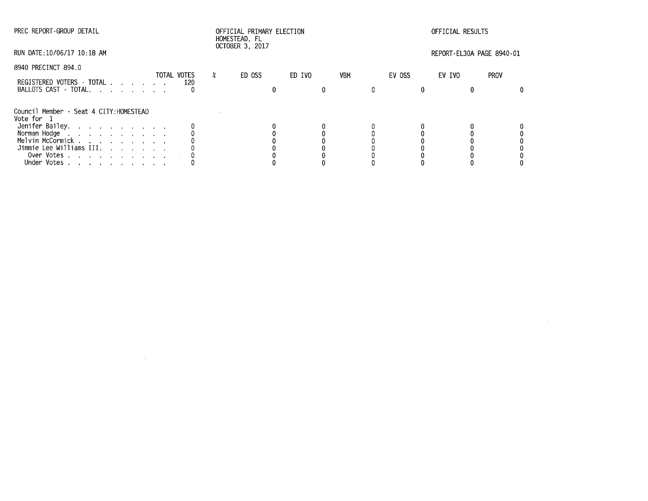$\mathcal{L}^{\text{max}}_{\text{max}}$  and  $\mathcal{L}^{\text{max}}_{\text{max}}$ 

# PREC REPORT-GROUP DETAIL OFFICIAL PRIMARY ELECTION OFFICIAL RESULTS HOMESTEAD, FL OCTOBER 3, 2017

RUN DATE:10/06/17 10:18 AM REPORT-EL30A PAGE 8940-01

| 8940 PRECINCT 894.0                                                                      |                    |        |        |            |        |        |      |  |
|------------------------------------------------------------------------------------------|--------------------|--------|--------|------------|--------|--------|------|--|
| REGISTERED VOTERS - TOTAL<br>BALLOTS CAST - TOTAL.                                       | TOTAL VOTES<br>120 | ED OSS | ED IVO | <b>VBM</b> | EV OSS | EV IVO | PROV |  |
| Council Member - Seat 4 CITY: HOMESTEAD<br>Vote for 1                                    |                    |        |        |            |        |        |      |  |
| Jenifer Bailey.                                                                          |                    |        |        |            |        |        |      |  |
| Norman Hodge   .  .  .  .  .  .  .  .  .  .<br>Melvin McCormick   .  .  .  .  .  .  .  . |                    |        |        |            |        |        |      |  |
|                                                                                          |                    |        |        |            |        |        |      |  |
| Jimmie Lee Williams III.                                                                 |                    |        |        |            |        |        |      |  |
| Over Votes                                                                               |                    |        |        |            |        |        |      |  |
| Votes<br>the contract of the contract of the<br>Under                                    |                    |        |        |            |        |        |      |  |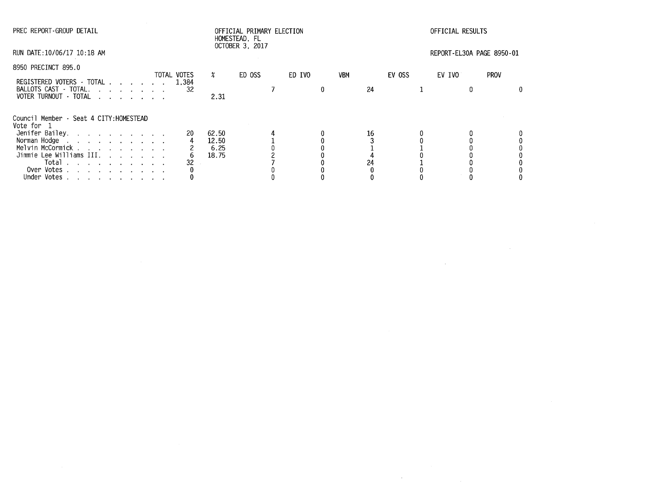| PREC REPORT-GROUP DETAIL                              |             | OFFICIAL PRIMARY ELECTION<br>HOMESTEAD, FL<br>OCTOBER 3, 2017 |        |  |        |            |    | OFFICIAL RESULTS |  |                           |             |  |
|-------------------------------------------------------|-------------|---------------------------------------------------------------|--------|--|--------|------------|----|------------------|--|---------------------------|-------------|--|
| RUN DATE:10/06/17 10:18 AM                            |             |                                                               |        |  |        |            |    |                  |  | REPORT-EL30A PAGE 8950-01 |             |  |
| 8950 PRECINCT 895.0                                   |             | X.                                                            |        |  |        |            |    |                  |  |                           |             |  |
| REGISTERED VOTERS - TOTAL 1,384                       | TOTAL VOTES |                                                               | ED OSS |  | ED IVO | <b>VBM</b> |    | EV OSS           |  | EV IVO                    | <b>PROV</b> |  |
| BALLOTS CAST - TOTAL.<br>VOTER TURNOUT - TOTAL        | -32         | 2.31                                                          |        |  |        |            | 24 |                  |  |                           |             |  |
| Council Member - Seat 4 CITY: HOMESTEAD<br>Vote for 1 |             |                                                               |        |  |        |            |    |                  |  |                           |             |  |
| Jenifer Bailey.                                       | 20          | 62.50                                                         |        |  |        |            | 16 |                  |  |                           |             |  |
| Norman Hodge                                          |             | 12.50                                                         |        |  |        |            |    |                  |  |                           |             |  |
| Melvin McCormick                                      |             | 6.25                                                          |        |  |        |            |    |                  |  |                           |             |  |
| Jimmie Lee Williams III.                              |             | 18.75                                                         |        |  |        |            |    |                  |  |                           |             |  |
| Total<br>the contract of the contract of the          | 32          |                                                               |        |  |        |            | 24 |                  |  |                           |             |  |
| Over Votes                                            |             |                                                               |        |  |        |            |    |                  |  |                           |             |  |
| Under Votes                                           |             |                                                               |        |  |        |            |    |                  |  |                           |             |  |

 $\mathcal{L}(\mathcal{L}(\mathcal{L}))$  and  $\mathcal{L}(\mathcal{L}(\mathcal{L}))$  . The contribution of  $\mathcal{L}(\mathcal{L})$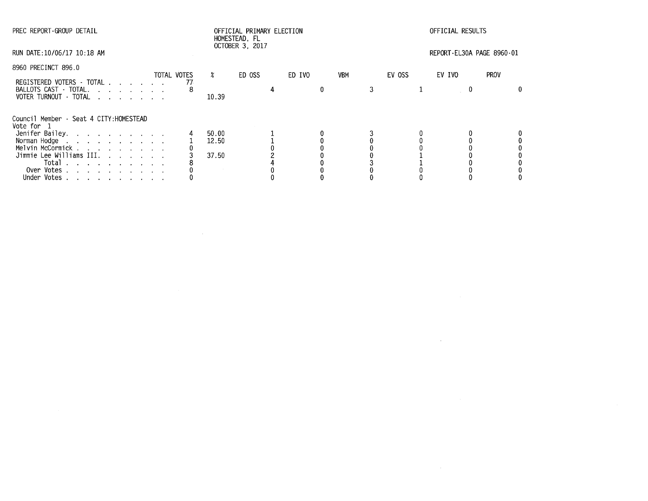| PREC REPORT-GROUP DETAIL                                                  |             |                           | OFFICIAL PRIMARY ELECTION<br>HOMESTEAD, FL |        |            |        | OFFICIAL RESULTS          |             |
|---------------------------------------------------------------------------|-------------|---------------------------|--------------------------------------------|--------|------------|--------|---------------------------|-------------|
| RUN DATE:10/06/17 10:18 AM                                                |             |                           | OCTOBER 3, 2017                            |        |            |        | REPORT-EL30A PAGE 8960-01 |             |
| 8960 PRECINCT 896.0                                                       | TOTAL VOTES | $\boldsymbol{\mathsf{z}}$ | ED OSS                                     | ED IVO | <b>VBM</b> | EV OSS | EV IVO                    | <b>PROV</b> |
|                                                                           |             |                           |                                            |        |            |        |                           |             |
| REGISTERED VOTERS TOTAL<br>BALLOTS CAST - TOTAL.<br>VOTER TURNOUT - TOTAL |             | 10.39                     |                                            |        |            |        |                           |             |
| Council Member - Seat 4 CITY:HOMESTEAD<br>Vote for 1                      |             |                           |                                            |        |            |        |                           |             |
| Jenifer Bailey.                                                           |             | 50.00                     |                                            |        |            |        |                           |             |
| Norman Hodge                                                              |             | 12.50                     |                                            |        |            |        |                           |             |
| Melvin McCormick                                                          |             |                           |                                            |        |            |        |                           |             |
| Jimmie Lee Williams III.                                                  |             | 37.50                     |                                            |        |            |        |                           |             |
| Total $\cdots$ $\cdots$ $\cdots$                                          |             |                           |                                            |        |            |        |                           |             |
| Over Votes                                                                |             |                           |                                            |        |            |        |                           |             |
| Under Votes                                                               |             |                           |                                            |        |            |        |                           |             |
|                                                                           |             |                           |                                            |        |            |        |                           |             |

 $\label{eq:2.1} \frac{1}{\sqrt{2}}\int_{\mathbb{R}^3}\frac{1}{\sqrt{2}}\left(\frac{1}{\sqrt{2}}\right)^2\frac{1}{\sqrt{2}}\left(\frac{1}{\sqrt{2}}\right)^2\frac{1}{\sqrt{2}}\left(\frac{1}{\sqrt{2}}\right)^2\frac{1}{\sqrt{2}}\left(\frac{1}{\sqrt{2}}\right)^2\frac{1}{\sqrt{2}}\left(\frac{1}{\sqrt{2}}\right)^2\frac{1}{\sqrt{2}}\frac{1}{\sqrt{2}}\frac{1}{\sqrt{2}}\frac{1}{\sqrt{2}}\frac{1}{\sqrt{2}}\frac{1}{\sqrt{2}}$ 

 $\label{eq:2.1} \frac{1}{2} \sum_{i=1}^n \frac{1}{2} \sum_{j=1}^n \frac{1}{2} \sum_{j=1}^n \frac{1}{2} \sum_{j=1}^n \frac{1}{2} \sum_{j=1}^n \frac{1}{2} \sum_{j=1}^n \frac{1}{2} \sum_{j=1}^n \frac{1}{2} \sum_{j=1}^n \frac{1}{2} \sum_{j=1}^n \frac{1}{2} \sum_{j=1}^n \frac{1}{2} \sum_{j=1}^n \frac{1}{2} \sum_{j=1}^n \frac{1}{2} \sum_{j=1}^n \frac{$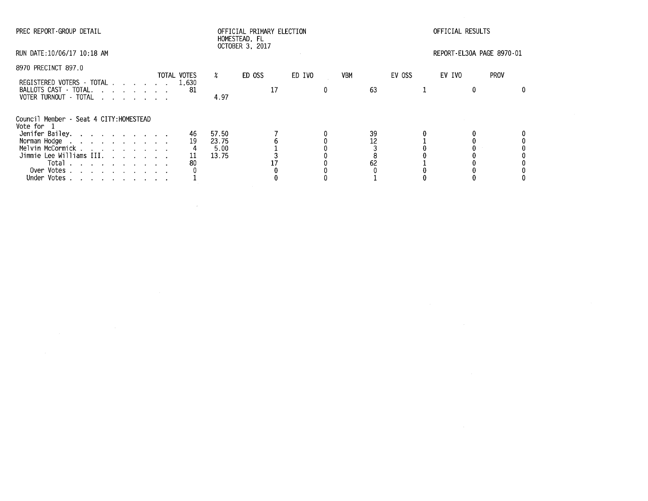| PREC REPORT-GROUP DETAIL                                                                                                                                                                                                                                                                                      |                      |                                 | OFFICIAL PRIMARY ELECTION<br>HOMESTEAD, FL<br>OCTOBER 3, 2017 |        |                |        | OFFICIAL RESULTS          |             |
|---------------------------------------------------------------------------------------------------------------------------------------------------------------------------------------------------------------------------------------------------------------------------------------------------------------|----------------------|---------------------------------|---------------------------------------------------------------|--------|----------------|--------|---------------------------|-------------|
| RUN DATE:10/06/17 10:18 AM                                                                                                                                                                                                                                                                                    |                      |                                 |                                                               |        |                |        | REPORT-EL30A PAGE 8970-01 |             |
| 8970 PRECINCT 897.0                                                                                                                                                                                                                                                                                           | TOTAL VOTES          | $\chi$                          | ED OSS                                                        | ED IVO | VBM            | EV OSS | EV IVO                    | <b>PROV</b> |
| REGISTERED VOTERS - TOTAL<br>BALLOTS CAST - TOTAL.<br>VOTER TURNOUT - TOTAL<br>and the contract of the contract of the contract of the contract of the contract of the contract of the contract of the contract of the contract of the contract of the contract of the contract of the contract of the contra | 1,630<br>-81         | 4.97                            | 17                                                            | 0      | 63             |        |                           | 0.          |
| Council Member - Seat 4 CITY: HOMESTEAD<br>Vote for 1                                                                                                                                                                                                                                                         |                      |                                 |                                                               |        |                |        |                           |             |
| Jenifer Bailey.<br>Norman Hodge<br>the contract of the contract of the contract of<br>Melvin McCormick<br>Jimmie Lee Williams III.<br>Total $\ldots$ $\ldots$ $\ldots$ $\ldots$<br>Over Votes<br>Under Votes                                                                                                  | 46<br>19<br>11<br>80 | 57.50<br>23.75<br>5.00<br>13.75 |                                                               |        | 39<br>12<br>62 |        |                           |             |

 $\label{eq:2.1} \mathcal{L}(\mathcal{L}^{\text{max}}_{\mathcal{L}}(\mathcal{L}^{\text{max}}_{\mathcal{L}})) \leq \mathcal{L}(\mathcal{L}^{\text{max}}_{\mathcal{L}}(\mathcal{L}^{\text{max}}_{\mathcal{L}}))$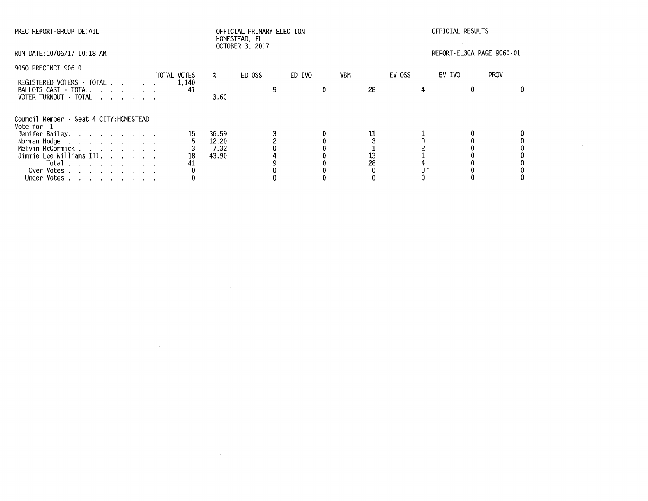| PREC REPORT-GROUP DETAIL                                                                                                                         |                |                                 | OFFICIAL PRIMARY ELECTION<br>HOMESTEAD, FL<br>OCTOBER 3, 2017 |        |          | OFFICIAL RESULTS |                           |             |  |  |
|--------------------------------------------------------------------------------------------------------------------------------------------------|----------------|---------------------------------|---------------------------------------------------------------|--------|----------|------------------|---------------------------|-------------|--|--|
| RUN DATE:10/06/17 10:18 AM                                                                                                                       |                |                                 |                                                               |        |          |                  | REPORT-EL30A PAGE 9060-01 |             |  |  |
| 9060 PRECINCT 906.0                                                                                                                              | TOTAL VOTES    | $\frac{2}{\pi}$                 | ED OSS                                                        | ED IVO | VBM      | EV OSS           | EV IVO                    | <b>PROV</b> |  |  |
| REGISTERED VOTERS - TOTAL 1.140<br>BALLOTS CAST - TOTAL.<br>VOTER TURNOUT - TOTAL                                                                | 41             | 3.60                            |                                                               |        | 28       |                  |                           |             |  |  |
| Council Member - Seat 4 CITY: HOMESTEAD<br>Vote for 1                                                                                            |                |                                 |                                                               |        |          |                  |                           |             |  |  |
| Jenifer Bailey.<br>Norman Hodge<br>Melvin McCormick<br>Jimmie Lee Williams III.<br>Total $\cdots$ $\cdots$ $\cdots$<br>Over Votes<br>Under Votes | 15<br>18<br>41 | 36.59<br>12.20<br>7.32<br>43.90 |                                                               |        | 13<br>28 |                  |                           |             |  |  |

 $\mathcal{L}(\mathcal{L})$  and  $\mathcal{L}(\mathcal{L})$  are the set of the set of the set of the set of the set of the set of the set of the set of the set of the set of the set of the set of the set of the set of the set of the set of the set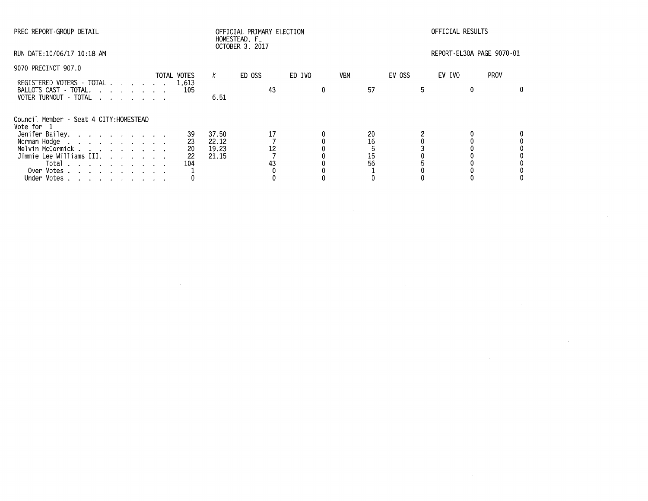| PREC REPORT-GROUP DETAIL                                                                                                                          |                             |                                  | OFFICIAL PRIMARY ELECTION<br>HOMESTEAD, FL |        |            | OFFICIAL RESULTS     |        |                           |  |  |
|---------------------------------------------------------------------------------------------------------------------------------------------------|-----------------------------|----------------------------------|--------------------------------------------|--------|------------|----------------------|--------|---------------------------|--|--|
| RUN DATE: 10/06/17 10:18 AM                                                                                                                       |                             |                                  | OCTOBER 3, 2017                            |        |            |                      |        | REPORT-EL30A PAGE 9070-01 |  |  |
| 9070 PRECINCT 907.0                                                                                                                               | TOTAL VOTES                 | X.                               | ED OSS                                     | ED IVO | <b>VBM</b> | EV OSS               | EV IVO | <b>PROV</b>               |  |  |
| REGISTERED VOTERS - TOTAL 1,613<br>BALLOTS CAST - TOTAL.<br>VOTER TURNOUT - TOTAL                                                                 | 105                         | 6.51                             | 43                                         |        |            | 57                   | 5      |                           |  |  |
| Council Member - Seat 4 CITY: HOMESTEAD<br>Vote for 1                                                                                             |                             |                                  |                                            |        |            |                      |        |                           |  |  |
| Jenifer Bailey.<br>Norman Hodge<br>Melvin McCormick<br>Jimmie Lee Williams III.<br>Total $\cdots$ $\cdots$ $\cdots$<br>Over Votes.<br>Under Votes | 39<br>23<br>20<br>22<br>104 | 37.50<br>22.12<br>19.23<br>21.15 | 43                                         |        |            | 20<br>16<br>15<br>56 |        |                           |  |  |

 $\label{eq:2.1} \frac{1}{\sqrt{2}}\int_{\mathbb{R}^3}\frac{1}{\sqrt{2}}\left(\frac{1}{\sqrt{2}}\right)^2\left(\frac{1}{\sqrt{2}}\right)^2\left(\frac{1}{\sqrt{2}}\right)^2\left(\frac{1}{\sqrt{2}}\right)^2\left(\frac{1}{\sqrt{2}}\right)^2\left(\frac{1}{\sqrt{2}}\right)^2.$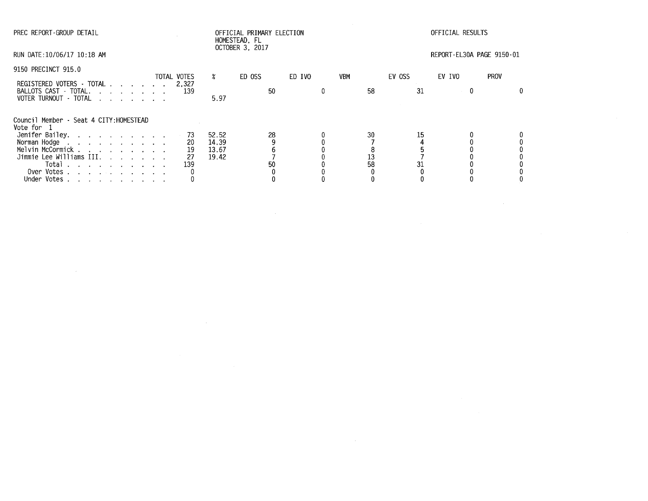| PREC REPORT-GROUP DETAIL                                                                                                                         |             |                                                          | OFFICIAL PRIMARY ELECTION<br>HOMESTEAD, FL |        |                | OFFICIAL RESULTS |                           |             |  |  |
|--------------------------------------------------------------------------------------------------------------------------------------------------|-------------|----------------------------------------------------------|--------------------------------------------|--------|----------------|------------------|---------------------------|-------------|--|--|
| RUN DATE:10/06/17 10:18 AM                                                                                                                       |             |                                                          | OCTOBER 3, 2017                            |        |                |                  | REPORT-EL30A PAGE 9150-01 |             |  |  |
| 9150 PRECINCT 915.0                                                                                                                              | TOTAL VOTES | $\boldsymbol{\mathsf{x}}$                                | ED OSS                                     | ED IVO | <b>VBM</b>     | EV OSS           | EV IVO                    | <b>PROV</b> |  |  |
| REGISTERED VOTERS - TOTAL 2.327<br>BALLOTS CAST - TOTAL.<br>VOTER TURNOUT - TOTAL                                                                | 139         | 5.97                                                     | 50                                         |        | 58             | 31               | $\mathbf{0}$              |             |  |  |
| Council Member - Seat 4 CITY: HOMESTEAD<br>Vote for 1                                                                                            |             |                                                          |                                            |        |                |                  |                           |             |  |  |
| Jenifer Bailey.<br>Norman Hodge<br>Melvin McCormick<br>Jimmie Lee Williams III.<br>Total $\cdots$ $\cdots$ $\cdots$<br>Over Votes<br>Under Votes | 139         | 52.52<br>73<br>14.39<br>20<br>19<br>13.67<br>19.42<br>27 | 28<br>50                                   |        | 30<br>13<br>58 | 15<br>31         |                           |             |  |  |

 $\mathcal{L}(\mathcal{L}^{\mathcal{L}})$  and  $\mathcal{L}(\mathcal{L}^{\mathcal{L}})$  and  $\mathcal{L}(\mathcal{L}^{\mathcal{L}})$  and  $\mathcal{L}(\mathcal{L}^{\mathcal{L}})$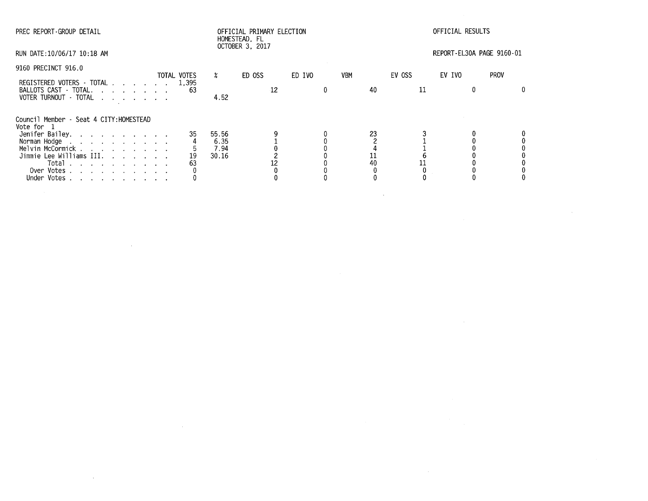| PREC REPORT GROUP DETAIL                                                                                                                                                                                                                                     |                   | OFFICIAL PRIMARY ELECTION<br>HOMESTEAD, FL<br>OCTOBER 3, 2017 |              |        | OFFICIAL RESULTS |                |              |                           |             |
|--------------------------------------------------------------------------------------------------------------------------------------------------------------------------------------------------------------------------------------------------------------|-------------------|---------------------------------------------------------------|--------------|--------|------------------|----------------|--------------|---------------------------|-------------|
| RUN DATE:10/06/17 10:18 AM                                                                                                                                                                                                                                   |                   |                                                               |              |        |                  |                |              | REPORT-EL30A PAGE 9160-01 |             |
| 9160 PRECINCT 916.0                                                                                                                                                                                                                                          |                   |                                                               |              |        |                  |                |              |                           | <b>PROV</b> |
| REGISTERED VOTERS - TOTAL 1,395<br>BALLOTS CAST - TOTAL.<br>VOTER TURNOUT - TOTAL                                                                                                                                                                            | TOTAL VOTES<br>63 | X.<br>4.52                                                    | ED OSS<br>12 | ED IVO | <b>VBM</b>       | 40             | EV OSS<br>11 | EV IVO                    |             |
| Council Member - Seat 4 CITY: HOMESTEAD<br>Vote for 1<br>Jenifer Bailey.<br>Norman Hodge<br>the contract of the contract of the contract of<br>Melvin McCormick<br>Jimmie Lee Williams III.<br>Total $\cdots$ $\cdots$ $\cdots$<br>Over Votes<br>Under Votes | 35<br>19<br>63    | 55.56<br>6.35<br>7.94<br>30.16                                |              |        |                  | 23<br>11<br>40 |              |                           |             |

 $\mathcal{L}(\mathcal{L}(\mathcal{L}))$  and  $\mathcal{L}(\mathcal{L}(\mathcal{L}))$  . The contribution of  $\mathcal{L}(\mathcal{L})$ 

 $\Delta \sim 10^{11}$  m  $^{-1}$ 

 $\mathcal{L}(\mathcal{L}^{\mathcal{L}})$  and  $\mathcal{L}(\mathcal{L}^{\mathcal{L}})$  and  $\mathcal{L}(\mathcal{L}^{\mathcal{L}})$  and  $\mathcal{L}(\mathcal{L}^{\mathcal{L}})$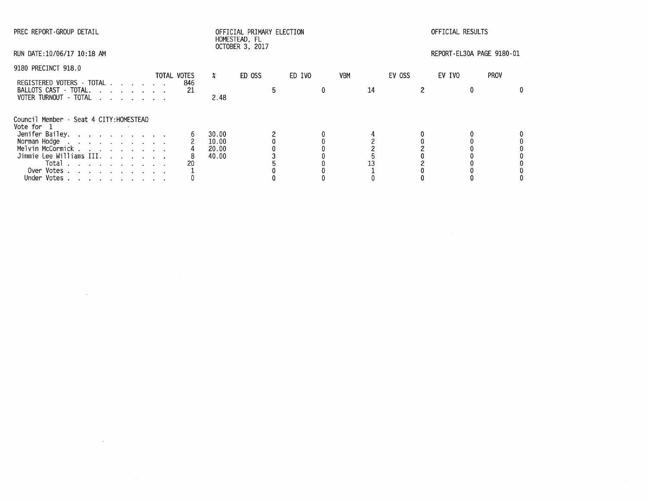| PREC REPORT-GROUP DETAIL                             |                    |                           | OFFICIAL PRIMARY ELECTION<br>HOMESTEAD. FL |        |            | OFFICIAL RESULTS |                           |  |  |
|------------------------------------------------------|--------------------|---------------------------|--------------------------------------------|--------|------------|------------------|---------------------------|--|--|
| RUN DATE:10/06/17 10:18 AM                           |                    |                           | OCTOBER 3, 2017                            |        |            |                  | REPORT-EL30A PAGE 9180-01 |  |  |
| 9180 PRECINCT 918.0                                  |                    |                           |                                            |        |            |                  |                           |  |  |
| REGISTERED VOTERS - TOTAL                            | TOTAL VOTES<br>846 | $\boldsymbol{\mathsf{x}}$ | ED OSS                                     | ED IVO | <b>VBM</b> | EV OSS           | <b>PROV</b><br>EV IVO     |  |  |
| BALLOTS CAST - TOTAL.<br>VOTER TURNOUT - TOTAL       | 21                 | 2.48                      |                                            |        |            | 14               |                           |  |  |
| Council Member - Seat 4 CITY:HOMESTEAD<br>Vote for 1 |                    |                           |                                            |        |            |                  |                           |  |  |
| Jenifer Bailey.                                      |                    | 30.00                     |                                            |        |            |                  |                           |  |  |
| Norman Hodge                                         |                    | 10.00                     |                                            |        |            |                  |                           |  |  |
| Melvin McCormick                                     |                    | 20.00                     |                                            |        |            |                  |                           |  |  |
| Jimmie Lee Williams III.                             |                    | 40.00                     |                                            |        |            |                  |                           |  |  |
| Total $\cdots$ $\cdots$ $\cdots$                     |                    |                           |                                            |        |            |                  |                           |  |  |
| Over Votes                                           |                    |                           |                                            |        |            |                  |                           |  |  |
| Under Votes                                          |                    |                           |                                            |        |            |                  |                           |  |  |

 $\label{eq:2.1} \frac{1}{\sqrt{2}}\int_{\mathbb{R}^3}\frac{1}{\sqrt{2}}\left(\frac{1}{\sqrt{2}}\right)^2\left(\frac{1}{\sqrt{2}}\right)^2\left(\frac{1}{\sqrt{2}}\right)^2\left(\frac{1}{\sqrt{2}}\right)^2\left(\frac{1}{\sqrt{2}}\right)^2\left(\frac{1}{\sqrt{2}}\right)^2.$ 

 $\label{eq:2.1} \mathcal{L}(\mathcal{L}^{\text{max}}_{\mathcal{L}}(\mathcal{L}^{\text{max}}_{\mathcal{L}}(\mathcal{L}^{\text{max}}_{\mathcal{L}}(\mathcal{L}^{\text{max}}_{\mathcal{L}^{\text{max}}_{\mathcal{L}}(\mathcal{L}^{\text{max}}_{\mathcal{L}^{\text{max}}_{\mathcal{L}^{\text{max}}_{\mathcal{L}^{\text{max}}_{\mathcal{L}^{\text{max}}_{\mathcal{L}^{\text{max}}_{\mathcal{L}^{\text{max}}_{\mathcal{L}^{\text{max}}_{\mathcal{L}^{\text{max}}$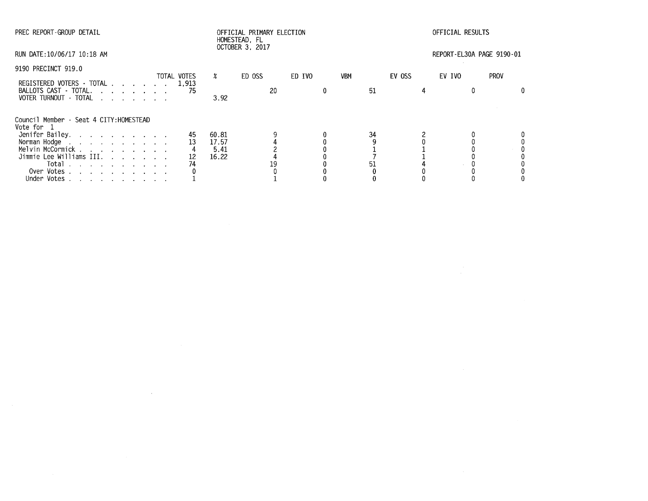| PREC REPORT-GROUP DETAIL                                                                                                                                                                                                       |             |     |                           | OFFICIAL PRIMARY ELECTION<br>HOMESTEAD, FL<br>OCTOBER 3, 2017 |    |        |  |            |        | OFFICIAL RESULTS |                           |  |  |
|--------------------------------------------------------------------------------------------------------------------------------------------------------------------------------------------------------------------------------|-------------|-----|---------------------------|---------------------------------------------------------------|----|--------|--|------------|--------|------------------|---------------------------|--|--|
| RUN DATE:10/06/17 10:18 AM                                                                                                                                                                                                     |             |     |                           |                                                               |    |        |  |            |        |                  | REPORT-EL30A PAGE 9190-01 |  |  |
| 9190 PRECINCT 919.0                                                                                                                                                                                                            | TOTAL VOTES |     | $\boldsymbol{\mathsf{z}}$ | ED OSS                                                        |    | ED IVO |  | <b>VBM</b> | EV OSS |                  | <b>PROV</b><br>EV IVO     |  |  |
| REGISTERED VOTERS - TOTAL 1,913                                                                                                                                                                                                |             |     |                           |                                                               |    |        |  |            |        |                  |                           |  |  |
| BALLOTS CAST - TOTAL.<br>VOTER TURNOUT - TOTAL                                                                                                                                                                                 |             | -75 | 3.92                      |                                                               | 20 |        |  | 51         |        |                  |                           |  |  |
| Council Member - Seat 4 CITY: HOMESTEAD<br>Vote for 1                                                                                                                                                                          |             |     |                           |                                                               |    |        |  |            |        |                  |                           |  |  |
| Jenifer Bailey.                                                                                                                                                                                                                |             | 45  | 60.81                     |                                                               |    |        |  | 34         |        |                  |                           |  |  |
| Norman Hodge research and such a series and series are set of the series of the series of the series of the series of the series of the series of the series of the series of the series of the series of the series of the se |             | 13  | 17.57                     |                                                               |    |        |  |            |        |                  |                           |  |  |
| Melvin McCormick                                                                                                                                                                                                               |             |     | 5.41                      |                                                               |    |        |  |            |        |                  |                           |  |  |
| Jimmie Lee Williams III.                                                                                                                                                                                                       |             | 12  | 16.22                     |                                                               |    |        |  |            |        |                  |                           |  |  |
| Total<br>$\mathcal{A}$ . The contribution of the contribution of the contribution of $\mathcal{A}$                                                                                                                             |             | 74  |                           |                                                               |    |        |  |            |        |                  |                           |  |  |
| Over Votes                                                                                                                                                                                                                     |             |     |                           |                                                               |    |        |  |            |        |                  |                           |  |  |
| Under Votes                                                                                                                                                                                                                    |             |     |                           |                                                               |    |        |  |            |        |                  |                           |  |  |

 $\mathcal{L}^{\mathcal{L}}(\mathcal{L}^{\mathcal{L}})$  and  $\mathcal{L}^{\mathcal{L}}(\mathcal{L}^{\mathcal{L}})$  . The contribution of  $\mathcal{L}^{\mathcal{L}}$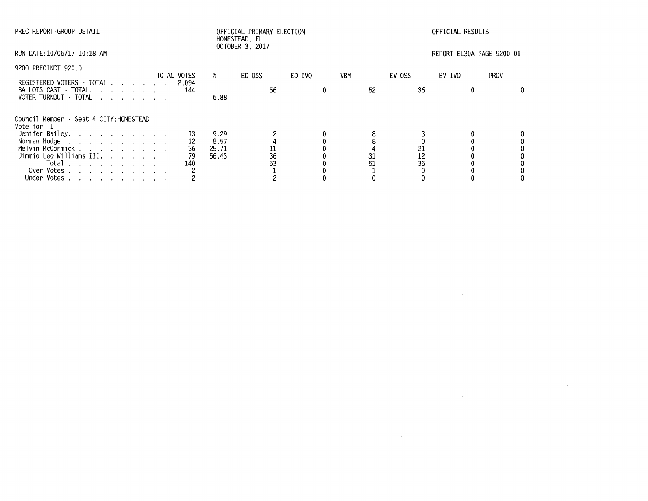| PREC REPORT-GROUP DETAIL                              |  |             |                           |                 |    | OFFICIAL PRIMARY ELECTION |            |    | OFFICIAL RESULTS |        |                  |                           |  |
|-------------------------------------------------------|--|-------------|---------------------------|-----------------|----|---------------------------|------------|----|------------------|--------|------------------|---------------------------|--|
| RUN DATE: 10/06/17 10:18 AM                           |  |             |                           | OCTOBER 3, 2017 |    |                           |            |    |                  |        |                  | REPORT-EL30A PAGE 9200-01 |  |
| 9200 PRECINCT 920.0                                   |  | TOTAL VOTES | $\boldsymbol{\mathsf{z}}$ | ED OSS          |    | ED IVO                    | <b>VBM</b> |    | EV OSS           | EV IVO |                  | <b>PROV</b>               |  |
| REGISTERED VOTERS · TOTAL 2,094                       |  |             |                           |                 |    |                           |            |    |                  |        |                  |                           |  |
| BALLOTS CAST - TOTAL.<br>VOTER TURNOUT TOTAL          |  | 144         | 6.88                      |                 | 56 |                           |            | 52 |                  | 36     | $\boldsymbol{0}$ |                           |  |
| Council Member - Seat 4 CITY: HOMESTEAD<br>Vote for 1 |  |             |                           |                 |    |                           |            |    |                  |        |                  |                           |  |
| Jenifer Bailey.                                       |  |             | 9.29                      |                 |    |                           |            |    |                  |        |                  |                           |  |
| Norman Hodge                                          |  |             | 8.57                      |                 |    |                           |            |    |                  |        |                  |                           |  |
| Melvin McCormick                                      |  | 36          | 25.71                     |                 |    |                           |            |    |                  | 21     |                  |                           |  |
| Jimmie Lee Williams III.                              |  | 79          | 56.43                     |                 | 36 |                           |            | 31 |                  | 12     |                  |                           |  |
| Total $\cdots$ $\cdots$ $\cdots$                      |  | 140         |                           |                 | 53 |                           |            | 51 |                  | 36     |                  |                           |  |
| Over Votes                                            |  |             |                           |                 |    |                           |            |    |                  |        |                  |                           |  |
| Under Votes                                           |  |             |                           |                 |    |                           |            |    |                  |        |                  |                           |  |

 $\mathcal{L}^{\mathcal{L}}(\mathcal{L}^{\mathcal{L}})$  and  $\mathcal{L}^{\mathcal{L}}(\mathcal{L}^{\mathcal{L}})$  . The contribution of  $\mathcal{L}^{\mathcal{L}}$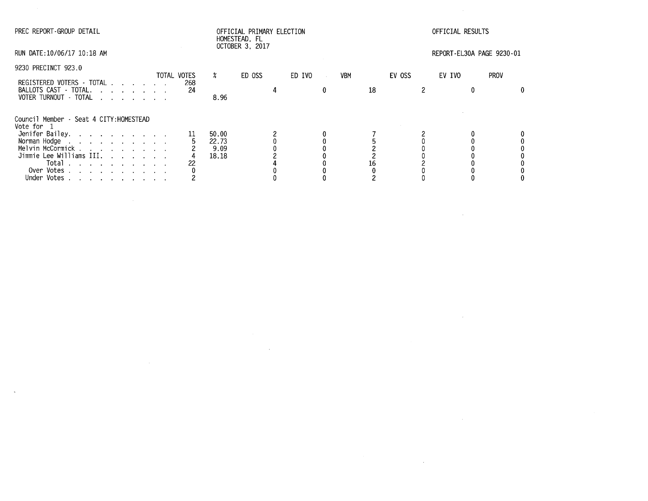| PREC REPORT-GROUP DETAIL                                       | OFFICIAL PRIMARY ELECTION<br>HOMESTEAD, FL<br>OCTOBER 3, 2017 |                    |       |        |  |        | OFFICIAL RESULTS |     |    |        |                           |    |  |
|----------------------------------------------------------------|---------------------------------------------------------------|--------------------|-------|--------|--|--------|------------------|-----|----|--------|---------------------------|----|--|
| RUN DATE:10/06/17 10:18 AM                                     |                                                               |                    |       |        |  |        |                  |     |    |        | REPORT-EL30A PAGE 9230-01 |    |  |
| 9230 PRECINCT 923.0                                            |                                                               |                    |       |        |  |        |                  |     |    |        |                           |    |  |
| REGISTERED VOTERS - TOTAL                                      |                                                               | TOTAL VOTES<br>268 | x     | ED OSS |  | ED IVO | $\sim$           | VBM |    | EV OSS | <b>PROV</b><br>EV IVO     |    |  |
| BALLOTS CAST - TOTAL.<br>VOTER TURNOUT - TOTAL                 |                                                               | 24                 | 8.96  |        |  |        | 0                |     | 18 |        |                           | 0. |  |
| Council Member - Seat 4 CITY: HOMESTEAD<br>Vote for 1          |                                                               |                    |       |        |  |        |                  |     |    |        |                           |    |  |
| Jenifer Bailey.                                                |                                                               |                    | 50.00 |        |  |        |                  |     |    |        |                           |    |  |
| Norman Hodge                                                   |                                                               |                    | 22.73 |        |  |        |                  |     |    |        |                           |    |  |
| Melvin McCormick                                               |                                                               |                    | 9.09  |        |  |        |                  |     |    |        |                           |    |  |
| Jimmie Lee Williams III.<br>Total                              |                                                               | 22                 | 18.18 |        |  |        |                  |     |    |        |                           |    |  |
| Over Votes                                                     |                                                               |                    |       |        |  |        |                  |     |    |        |                           |    |  |
| Under Votes<br>the contract of the contract of the contract of |                                                               |                    |       |        |  |        |                  |     |    |        |                           |    |  |

 $\bar{\mathcal{L}}$ 

 $\mathcal{L}(\mathcal{L}(\mathcal{L}))$  and  $\mathcal{L}(\mathcal{L}(\mathcal{L}))$  . The contribution of  $\mathcal{L}(\mathcal{L})$ 

 $\mathcal{L}(\mathcal{L}(\mathcal{L}))$  and  $\mathcal{L}(\mathcal{L}(\mathcal{L}))$  . The contribution of  $\mathcal{L}(\mathcal{L})$ 

 $\label{eq:2.1} \frac{1}{\sqrt{2\pi}}\frac{1}{\sqrt{2\pi}}\frac{1}{\sqrt{2\pi}}\frac{1}{\sqrt{2\pi}}\frac{1}{\sqrt{2\pi}}\frac{1}{\sqrt{2\pi}}\frac{1}{\sqrt{2\pi}}\frac{1}{\sqrt{2\pi}}\frac{1}{\sqrt{2\pi}}\frac{1}{\sqrt{2\pi}}\frac{1}{\sqrt{2\pi}}\frac{1}{\sqrt{2\pi}}\frac{1}{\sqrt{2\pi}}\frac{1}{\sqrt{2\pi}}\frac{1}{\sqrt{2\pi}}\frac{1}{\sqrt{2\pi}}\frac{1}{\sqrt{2\pi}}\frac{1}{\sqrt$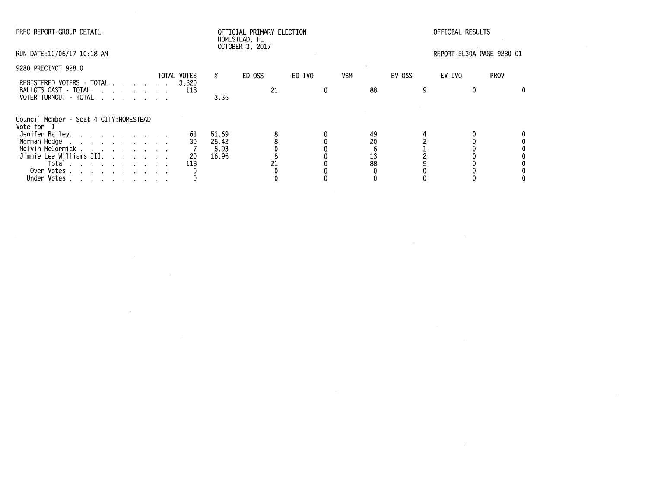| PREC REPORT-GROUP DETAIL                                                                                                                                                                                                                                                                                |                       |                                 | OFFICIAL PRIMARY ELECTION<br>HOMESTEAD, FL |        |            |                      | OFFICIAL RESULTS          |             |
|---------------------------------------------------------------------------------------------------------------------------------------------------------------------------------------------------------------------------------------------------------------------------------------------------------|-----------------------|---------------------------------|--------------------------------------------|--------|------------|----------------------|---------------------------|-------------|
| RUN DATE:10/06/17 10:18 AM                                                                                                                                                                                                                                                                              |                       |                                 | <b>OCTOBER 3, 2017</b>                     |        |            |                      | REPORT-EL30A PAGE 9280-01 |             |
| 9280 PRECINCT 928.0                                                                                                                                                                                                                                                                                     | TOTAL VOTES           | $\boldsymbol{\mathsf{x}}$       | ED OSS                                     | ED IVO | <b>VBM</b> | EV OSS               | EV IVO                    | <b>PROV</b> |
| REGISTERED VOTERS - TOTAL<br>BALLOTS CAST - TOTAL.<br>VOTER TURNOUT - TOTAL                                                                                                                                                                                                                             | 3.520                 | 3.35                            | 21                                         |        |            | 88                   |                           | 0.          |
| Council Member - Seat 4 CITY:HOMESTEAD<br>Vote for  1<br>Jenifer Bailey.<br>Norman Hodge<br>Melvin McCormick<br>Jimmie Lee Williams III.<br>Total $\cdots$ $\cdots$ $\cdots$<br>Over Votes<br>and a straightful contract and a straight<br>Under Votes<br>and a series of the contract of the series of | 61<br>30<br>20<br>118 | 51.69<br>25.42<br>5.93<br>16.95 |                                            |        |            | 49<br>20<br>13<br>88 |                           |             |

 $\mathcal{L}(\mathcal{L}(\mathcal{L}))$  and  $\mathcal{L}(\mathcal{L}(\mathcal{L}))$  . The contribution of  $\mathcal{L}(\mathcal{L})$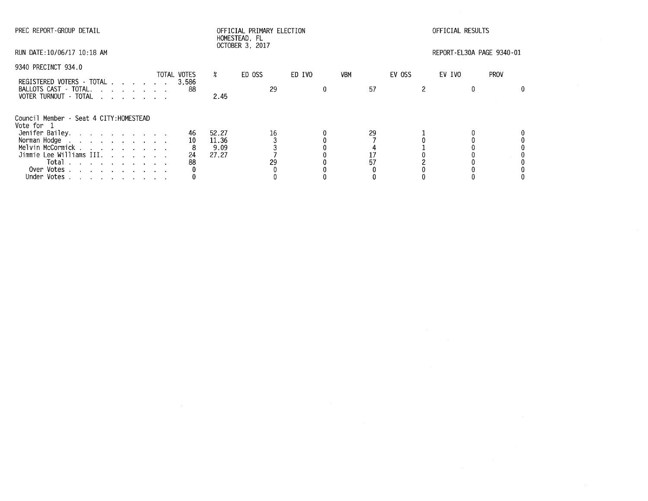| PREC REPORT-GROUP DETAIL                                 |              |                           | OFFICIAL PRIMARY ELECTION<br>HOMESTEAD, FL<br>OCTOBER 3, 2017 |        |            | OFFICIAL RESULTS |                           |             |  |  |
|----------------------------------------------------------|--------------|---------------------------|---------------------------------------------------------------|--------|------------|------------------|---------------------------|-------------|--|--|
| RUN DATE:10/06/17 10:18 AM                               |              |                           |                                                               |        |            |                  | REPORT-EL30A PAGE 9340-01 |             |  |  |
| 9340 PRECINCT 934.0                                      | TOTAL VOTES  | $\boldsymbol{\mathsf{x}}$ | ED OSS                                                        | ED IVO | <b>VBM</b> | EV OSS           | EV IVO                    | <b>PROV</b> |  |  |
| REGISTERED VOTERS - TOTAL<br>BALLOTS CAST - TOTAL.       | 3.586<br>-88 |                           | 29                                                            | 0      | 57         |                  |                           |             |  |  |
| VOTER TURNOUT - TOTAL                                    |              | 2.45                      |                                                               |        |            |                  |                           |             |  |  |
| Council Member - Seat 4 CITY: HOMESTEAD<br>Vote for 1    |              |                           |                                                               |        |            |                  |                           |             |  |  |
| Jenifer Bailey.                                          | 46           | 52.27                     | 16                                                            |        | 29         |                  |                           |             |  |  |
| Norman Hodge                                             | 10           | 11.36                     |                                                               |        |            |                  |                           |             |  |  |
| Melvin McCormick                                         |              | 9.09                      |                                                               |        |            |                  |                           |             |  |  |
| Jimmie Lee Williams III.                                 | 24           | 27.27                     |                                                               |        |            |                  |                           |             |  |  |
| Total<br>the contract of the contract of the contract of | 88           |                           | 29                                                            |        |            |                  |                           |             |  |  |
| Over Votes                                               |              |                           |                                                               |        |            |                  |                           |             |  |  |
| Under Votes                                              |              |                           |                                                               |        |            |                  |                           |             |  |  |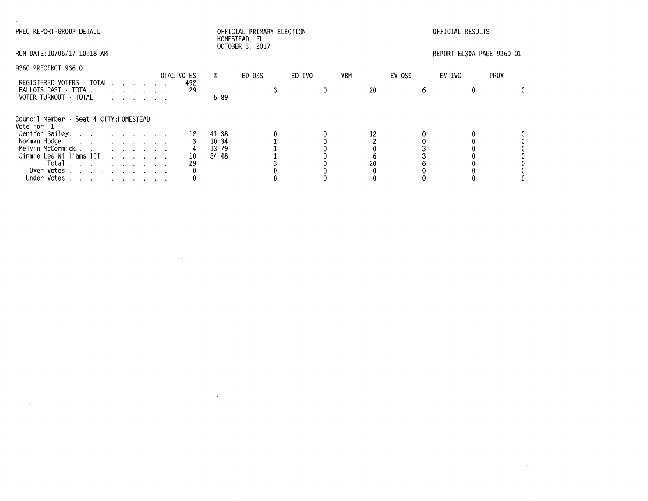| PREC REPORT-GROUP DETAIL                                                                                                                                                                                                                                                 |             |                                  | HOMESTEAD, FL<br>OCTOBER 3, 2017 | OFFICIAL PRIMARY ELECTION |            | OFFICIAL RESULTS |                           |             |  |
|--------------------------------------------------------------------------------------------------------------------------------------------------------------------------------------------------------------------------------------------------------------------------|-------------|----------------------------------|----------------------------------|---------------------------|------------|------------------|---------------------------|-------------|--|
| RUN DATE:10/06/17 10:18 AM                                                                                                                                                                                                                                               |             |                                  |                                  |                           |            |                  | REPORT-EL30A PAGE 9360-01 |             |  |
| 9360 PRECINCT 936.0                                                                                                                                                                                                                                                      | TOTAL VOTES | $\boldsymbol{\mathsf{z}}$        | ED OSS                           | ED IVO                    | <b>VBM</b> | EV OSS           | EV IVO                    | <b>PROV</b> |  |
| REGISTERED VOTERS - TOTAL<br>BALLOTS CAST TOTAL.<br>VOTER TURNOUT · TOTAL                                                                                                                                                                                                | 492<br>29   | 5.89                             |                                  |                           | 20         | 6                |                           |             |  |
| Council Member - Seat 4 CITY: HOMESTEAD<br>Vote for 1                                                                                                                                                                                                                    |             |                                  |                                  |                           |            |                  |                           |             |  |
| Jenifer Bailey.<br>Norman Hodge<br>Melvin McCormick<br>Jimmie Lee Williams III.<br>Total $\cdots$ $\cdots$ $\cdots$<br>Over Votes<br>Under Votes<br>designed to the control of the control of the control of the control of the control of the control of the control of | 10<br>29    | 41.38<br>10.34<br>13.79<br>34.48 |                                  |                           | 20         |                  |                           |             |  |

 $\mathcal{L}^{\text{max}}_{\text{max}}$  and  $\mathcal{L}^{\text{max}}_{\text{max}}$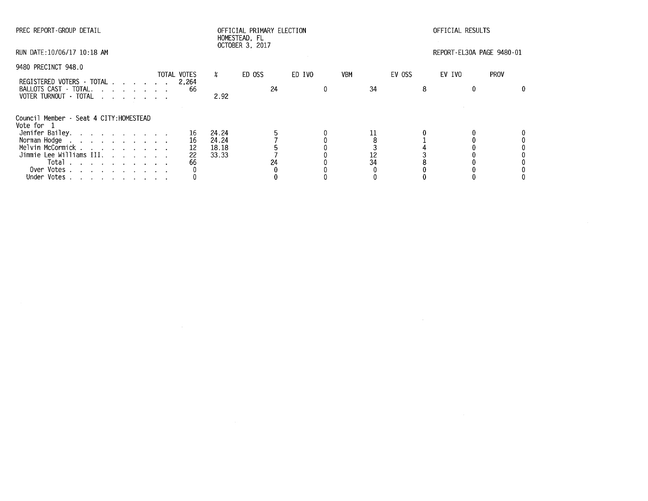| PREC REPORT-GROUP DETAIL                                                    | OFFICIAL PRIMARY ELECTION<br>HOMESTEAD, FL<br>OCTOBER 3, 2017 |                      |       |        |    | OFFICIAL RESULTS |  |     |        |   |                           |             |
|-----------------------------------------------------------------------------|---------------------------------------------------------------|----------------------|-------|--------|----|------------------|--|-----|--------|---|---------------------------|-------------|
| RUN DATE:10/06/17 10:18 AM                                                  |                                                               |                      |       |        |    |                  |  |     |        |   | REPORT-EL30A PAGE 9480-01 |             |
| 9480 PRECINCT 948.0                                                         |                                                               |                      | X     |        |    |                  |  |     | EV OSS |   |                           | <b>PROV</b> |
|                                                                             |                                                               | TOTAL VOTES<br>2,264 |       | ED OSS |    | ED IVO           |  | VBM |        |   | EV IVO                    |             |
| REGISTERED VOTERS - TOTAL<br>BALLOTS CAST - TOTAL.<br>VOTER TURNOUT - TOTAL |                                                               | 66                   | 2.92  |        | 24 |                  |  | 34  |        | 8 |                           | 0           |
| Council Member - Seat 4 CITY: HOMESTEAD<br>Vote for 1                       |                                                               |                      |       |        |    |                  |  |     |        |   |                           |             |
| Jenifer Bailey.                                                             |                                                               | 16                   | 24.24 |        |    |                  |  |     |        |   |                           |             |
| Norman Hodge                                                                |                                                               | 16                   | 24.24 |        |    |                  |  |     |        |   |                           |             |
| Melvin McCormick                                                            |                                                               | 12                   | 18.18 |        |    |                  |  |     |        |   |                           |             |
| Jimmie Lee Williams III.                                                    |                                                               | 22                   | 33.33 |        |    |                  |  | 12  |        |   |                           |             |
| Total<br>the contract of the contract of the contract of                    |                                                               | 66                   |       |        | 24 |                  |  | 34  |        |   |                           |             |
| Over Votes                                                                  |                                                               |                      |       |        |    |                  |  |     |        |   |                           |             |
| Under Votes                                                                 |                                                               |                      |       |        |    |                  |  |     |        |   |                           |             |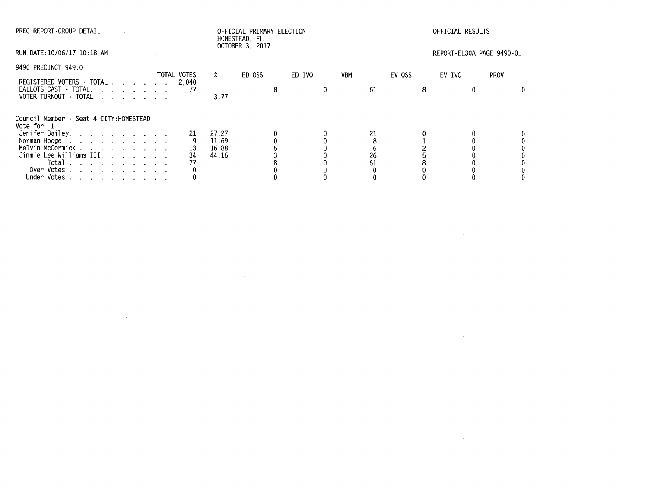| PREC REPORT-GROUP DETAIL                                 | HOMESTEAD, FL<br>OCTOBER 3, 2017 |             |       |        | OFFICIAL PRIMARY ELECTION |        |   |     |    |        | OFFICIAL RESULTS |                           |             |  |
|----------------------------------------------------------|----------------------------------|-------------|-------|--------|---------------------------|--------|---|-----|----|--------|------------------|---------------------------|-------------|--|
| RUN DATE:10/06/17 10:18 AM                               |                                  |             |       |        |                           |        |   |     |    |        |                  | REPORT-EL30A PAGE 9490-01 |             |  |
| 9490 PRECINCT 949.0                                      |                                  | TOTAL VOTES | X.    | ED OSS |                           | ED IVO |   | VBM |    | EV OSS |                  | EV IVO                    | <b>PROV</b> |  |
| REGISTERED VOTERS - TOTAL                                |                                  | 2.040       |       |        |                           |        |   |     |    |        |                  |                           |             |  |
| BALLOTS CAST - TOTAL.<br>VOTER TURNOUT - TOTAL           |                                  | -77         | 3.77  |        |                           |        | 0 |     | 61 |        |                  |                           |             |  |
| Council Member - Seat 4 CITY: HOMESTEAD<br>Vote for 1    |                                  |             |       |        |                           |        |   |     |    |        |                  |                           |             |  |
| Jenifer Bailey.                                          |                                  | 21          | 27.27 |        |                           |        |   |     | 21 |        |                  |                           |             |  |
| Norman Hodge                                             |                                  |             | 11.69 |        |                           |        |   |     |    |        |                  |                           |             |  |
| Melvin McCormick                                         |                                  | 13          | 16.88 |        |                           |        |   |     |    |        |                  |                           |             |  |
| Jimmie Lee Williams III.                                 |                                  | 34          | 44.16 |        |                           |        |   |     | 26 |        |                  |                           |             |  |
| Total<br>the contract of the contract of the contract of |                                  |             |       |        |                           |        |   |     | 61 |        |                  |                           |             |  |
| Over Votes                                               |                                  |             |       |        |                           |        |   |     |    |        |                  |                           |             |  |
| Under Votes                                              |                                  |             |       |        |                           |        |   |     |    |        |                  |                           |             |  |

 $\mathcal{L}(\mathcal{L}(\mathcal{L}(\mathcal{L}(\mathcal{L}(\mathcal{L}(\mathcal{L}(\mathcal{L}(\mathcal{L}(\mathcal{L}(\mathcal{L}(\mathcal{L}(\mathcal{L}(\mathcal{L}(\mathcal{L}(\mathcal{L}(\mathcal{L}(\mathcal{L}(\mathcal{L}(\mathcal{L}(\mathcal{L}(\mathcal{L}(\mathcal{L}(\mathcal{L}(\mathcal{L}(\mathcal{L}(\mathcal{L}(\mathcal{L}(\mathcal{L}(\mathcal{L}(\mathcal{L}(\mathcal{L}(\mathcal{L}(\mathcal{L}(\mathcal{L}(\mathcal{L}(\mathcal{$ 

 $\mathcal{L}^{\mathcal{L}}(\mathcal{L}^{\mathcal{L}})$  and  $\mathcal{L}^{\mathcal{L}}(\mathcal{L}^{\mathcal{L}})$  . The contribution of  $\mathcal{L}^{\mathcal{L}}$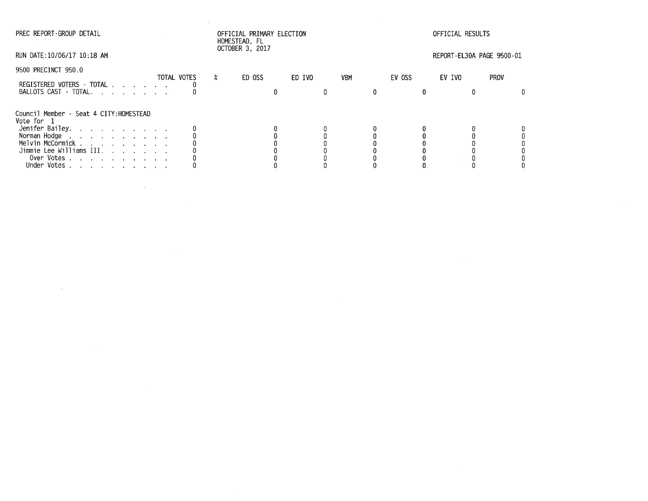$\sim$ 

 $\sim$ 

## PREC REPORT-GROUP DETAIL OFFICIAL PRIMARY ELECTION OFFICIAL RESULTS HOMESTEAD, FL OCTOBER 3, 2017

 $\sim 10^7$ 

RUN DATE:10/06/17 10:18 AM REPORT-EL30A PAGE 9500-01

| 9500 PRECINCT 950.0                                   | TOTAL VOTES | ED OSS | ED IVO | <b>VBM</b> | EV OSS | EV IVO | <b>PROV</b> |
|-------------------------------------------------------|-------------|--------|--------|------------|--------|--------|-------------|
| REGISTERED VOTERS - TOTAL<br>BALLOTS CAST - TOTAL.    |             |        |        |            |        |        |             |
| Council Member - Seat 4 CITY: HOMESTEAD<br>Vote for 1 |             |        |        |            |        |        |             |
| Jenifer Bailey.                                       |             |        |        |            |        |        |             |
| Norman Hodge                                          |             |        |        |            |        |        |             |
| Melvin McCormick                                      |             |        |        |            |        |        |             |
| Jimmie Lee Williams III.                              |             |        |        |            |        |        |             |
| Over Votes.                                           |             |        |        |            |        |        |             |
| and a strain and a strain and a<br>Under Votes        |             |        |        |            |        |        |             |